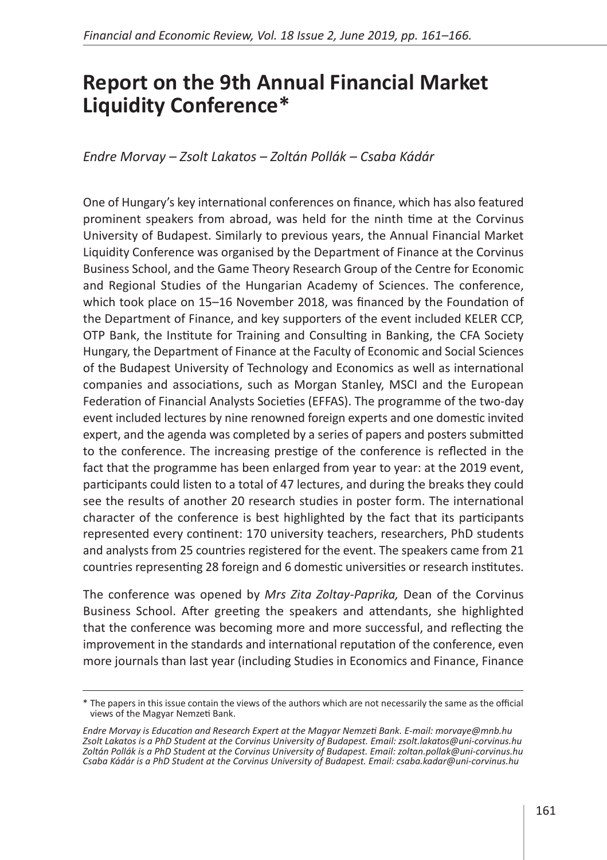## **Report on the 9th Annual Financial Market Liquidity Conference\***

## *Endre Morvay – Zsolt Lakatos – Zoltán Pollák – Csaba Kádár*

One of Hungary's key international conferences on finance, which has also featured prominent speakers from abroad, was held for the ninth time at the Corvinus University of Budapest. Similarly to previous years, the Annual Financial Market Liquidity Conference was organised by the Department of Finance at the Corvinus Business School, and the Game Theory Research Group of the Centre for Economic and Regional Studies of the Hungarian Academy of Sciences. The conference, which took place on 15–16 November 2018, was financed by the Foundation of the Department of Finance, and key supporters of the event included KELER CCP, OTP Bank, the Institute for Training and Consulting in Banking, the CFA Society Hungary, the Department of Finance at the Faculty of Economic and Social Sciences of the Budapest University of Technology and Economics as well as international companies and associations, such as Morgan Stanley, MSCI and the European Federation of Financial Analysts Societies (EFFAS). The programme of the two-day event included lectures by nine renowned foreign experts and one domestic invited expert, and the agenda was completed by a series of papers and posters submitted to the conference. The increasing prestige of the conference is reflected in the fact that the programme has been enlarged from year to year: at the 2019 event, participants could listen to a total of 47 lectures, and during the breaks they could see the results of another 20 research studies in poster form. The international character of the conference is best highlighted by the fact that its participants represented every continent: 170 university teachers, researchers, PhD students and analysts from 25 countries registered for the event. The speakers came from 21 countries representing 28 foreign and 6 domestic universities or research institutes.

The conference was opened by *Mrs Zita Zoltay-Paprika,* Dean of the Corvinus Business School. After greeting the speakers and attendants, she highlighted that the conference was becoming more and more successful, and reflecting the improvement in the standards and international reputation of the conference, even more journals than last year (including Studies in Economics and Finance, Finance

<sup>\*</sup> The papers in this issue contain the views of the authors which are not necessarily the same as the official views of the Magyar Nemzeti Bank.

*Endre Morvay is Education and Research Expert at the Magyar Nemzeti Bank. E-mail: morvaye@mnb.hu Zsolt Lakatos is a PhD Student at the Corvinus University of Budapest. Email: zsolt.lakatos@uni-corvinus.hu Zoltán Pollák is a PhD Student at the Corvinus University of Budapest. Email: zoltan.pollak@uni-corvinus.hu Csaba Kádár is a PhD Student at the Corvinus University of Budapest. Email: csaba.kadar@uni-corvinus.hu*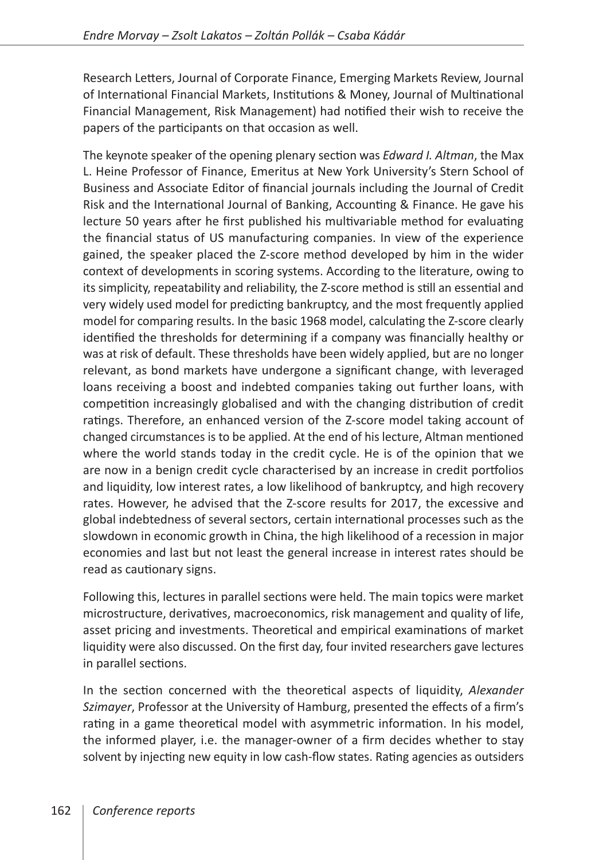Research Letters, Journal of Corporate Finance, Emerging Markets Review, Journal of International Financial Markets, Institutions & Money, Journal of Multinational Financial Management, Risk Management) had notified their wish to receive the papers of the participants on that occasion as well.

The keynote speaker of the opening plenary section was *Edward I. Altman*, the Max L. Heine Professor of Finance, Emeritus at New York University's Stern School of Business and Associate Editor of financial journals including the Journal of Credit Risk and the International Journal of Banking, Accounting & Finance. He gave his lecture 50 years after he first published his multivariable method for evaluating the financial status of US manufacturing companies. In view of the experience gained, the speaker placed the Z-score method developed by him in the wider context of developments in scoring systems. According to the literature, owing to its simplicity, repeatability and reliability, the Z-score method is still an essential and very widely used model for predicting bankruptcy, and the most frequently applied model for comparing results. In the basic 1968 model, calculating the Z-score clearly identified the thresholds for determining if a company was financially healthy or was at risk of default. These thresholds have been widely applied, but are no longer relevant, as bond markets have undergone a significant change, with leveraged loans receiving a boost and indebted companies taking out further loans, with competition increasingly globalised and with the changing distribution of credit ratings. Therefore, an enhanced version of the Z-score model taking account of changed circumstances is to be applied. At the end of his lecture, Altman mentioned where the world stands today in the credit cycle. He is of the opinion that we are now in a benign credit cycle characterised by an increase in credit portfolios and liquidity, low interest rates, a low likelihood of bankruptcy, and high recovery rates. However, he advised that the Z-score results for 2017, the excessive and global indebtedness of several sectors, certain international processes such as the slowdown in economic growth in China, the high likelihood of a recession in major economies and last but not least the general increase in interest rates should be read as cautionary signs.

Following this, lectures in parallel sections were held. The main topics were market microstructure, derivatives, macroeconomics, risk management and quality of life, asset pricing and investments. Theoretical and empirical examinations of market liquidity were also discussed. On the first day, four invited researchers gave lectures in parallel sections.

In the section concerned with the theoretical aspects of liquidity, *Alexander Szimayer*, Professor at the University of Hamburg, presented the effects of a firm's rating in a game theoretical model with asymmetric information. In his model, the informed player, i.e. the manager-owner of a firm decides whether to stay solvent by injecting new equity in low cash-flow states. Rating agencies as outsiders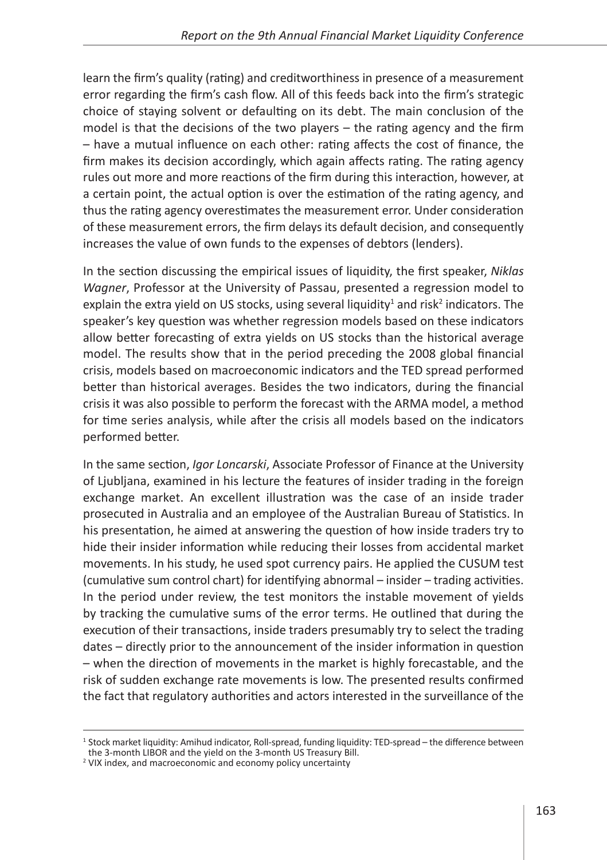learn the firm's quality (rating) and creditworthiness in presence of a measurement error regarding the firm's cash flow. All of this feeds back into the firm's strategic choice of staying solvent or defaulting on its debt. The main conclusion of the model is that the decisions of the two players – the rating agency and the firm – have a mutual influence on each other: rating affects the cost of finance, the firm makes its decision accordingly, which again affects rating. The rating agency rules out more and more reactions of the firm during this interaction, however, at a certain point, the actual option is over the estimation of the rating agency, and thus the rating agency overestimates the measurement error. Under consideration of these measurement errors, the firm delays its default decision, and consequently increases the value of own funds to the expenses of debtors (lenders).

In the section discussing the empirical issues of liquidity, the first speaker, *Niklas Wagner*, Professor at the University of Passau, presented a regression model to explain the extra yield on US stocks, using several liquidity<sup>1</sup> and risk<sup>2</sup> indicators. The speaker's key question was whether regression models based on these indicators allow better forecasting of extra yields on US stocks than the historical average model. The results show that in the period preceding the 2008 global financial crisis, models based on macroeconomic indicators and the TED spread performed better than historical averages. Besides the two indicators, during the financial crisis it was also possible to perform the forecast with the ARMA model, a method for time series analysis, while after the crisis all models based on the indicators performed better.

In the same section, *Igor Loncarski*, Associate Professor of Finance at the University of Ljubljana, examined in his lecture the features of insider trading in the foreign exchange market. An excellent illustration was the case of an inside trader prosecuted in Australia and an employee of the Australian Bureau of Statistics. In his presentation, he aimed at answering the question of how inside traders try to hide their insider information while reducing their losses from accidental market movements. In his study, he used spot currency pairs. He applied the CUSUM test (cumulative sum control chart) for identifying abnormal – insider – trading activities. In the period under review, the test monitors the instable movement of yields by tracking the cumulative sums of the error terms. He outlined that during the execution of their transactions, inside traders presumably try to select the trading dates – directly prior to the announcement of the insider information in question – when the direction of movements in the market is highly forecastable, and the risk of sudden exchange rate movements is low. The presented results confirmed the fact that regulatory authorities and actors interested in the surveillance of the

<sup>&</sup>lt;sup>1</sup> Stock market liquidity: Amihud indicator, Roll-spread, funding liquidity: TED-spread – the difference between the 3-month LIBOR and the yield on the 3-month US Treasury Bill.

<sup>2</sup> VIX index, and macroeconomic and economy policy uncertainty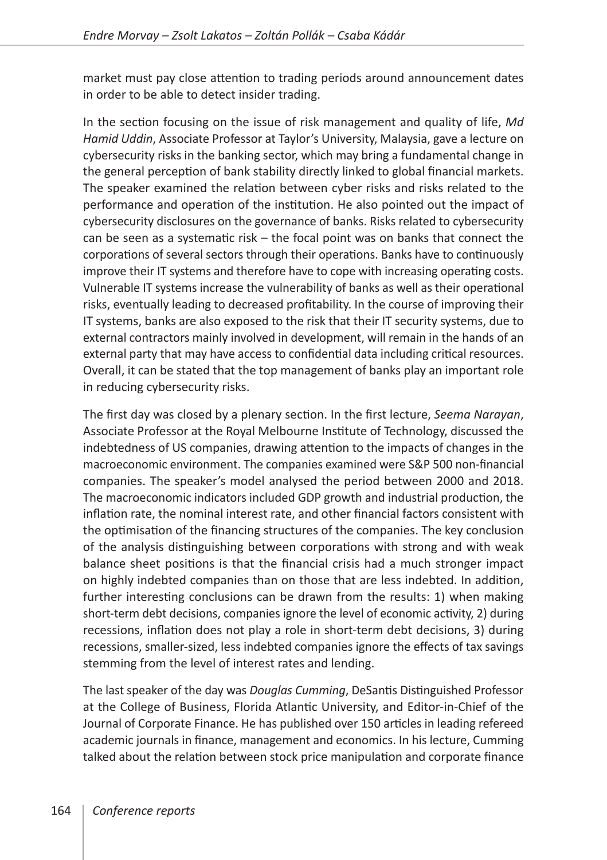market must pay close attention to trading periods around announcement dates in order to be able to detect insider trading.

In the section focusing on the issue of risk management and quality of life, *Md Hamid Uddin*, Associate Professor at Taylor's University, Malaysia, gave a lecture on cybersecurity risks in the banking sector, which may bring a fundamental change in the general perception of bank stability directly linked to global financial markets. The speaker examined the relation between cyber risks and risks related to the performance and operation of the institution. He also pointed out the impact of cybersecurity disclosures on the governance of banks. Risks related to cybersecurity can be seen as a systematic risk – the focal point was on banks that connect the corporations of several sectors through their operations. Banks have to continuously improve their IT systems and therefore have to cope with increasing operating costs. Vulnerable IT systems increase the vulnerability of banks as well as their operational risks, eventually leading to decreased profitability. In the course of improving their IT systems, banks are also exposed to the risk that their IT security systems, due to external contractors mainly involved in development, will remain in the hands of an external party that may have access to confidential data including critical resources. Overall, it can be stated that the top management of banks play an important role in reducing cybersecurity risks.

The first day was closed by a plenary section. In the first lecture, *Seema Narayan*, Associate Professor at the Royal Melbourne Institute of Technology, discussed the indebtedness of US companies, drawing attention to the impacts of changes in the macroeconomic environment. The companies examined were S&P 500 non-financial companies. The speaker's model analysed the period between 2000 and 2018. The macroeconomic indicators included GDP growth and industrial production, the inflation rate, the nominal interest rate, and other financial factors consistent with the optimisation of the financing structures of the companies. The key conclusion of the analysis distinguishing between corporations with strong and with weak balance sheet positions is that the financial crisis had a much stronger impact on highly indebted companies than on those that are less indebted. In addition, further interesting conclusions can be drawn from the results: 1) when making short-term debt decisions, companies ignore the level of economic activity, 2) during recessions, inflation does not play a role in short-term debt decisions, 3) during recessions, smaller-sized, less indebted companies ignore the effects of tax savings stemming from the level of interest rates and lending.

The last speaker of the day was *Douglas Cumming*, DeSantis Distinguished Professor at the College of Business, Florida Atlantic University, and Editor-in-Chief of the Journal of Corporate Finance. He has published over 150 articles in leading refereed academic journals in finance, management and economics. In his lecture, Cumming talked about the relation between stock price manipulation and corporate finance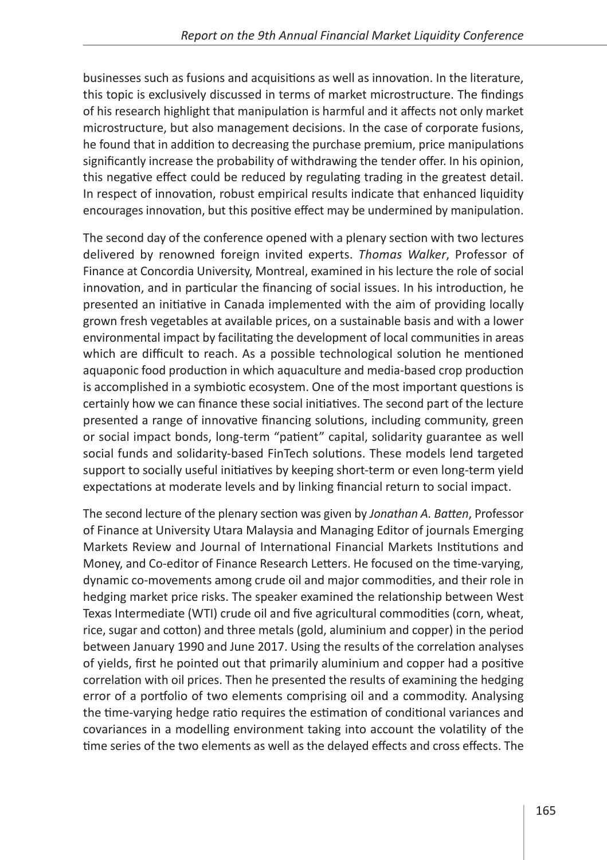businesses such as fusions and acquisitions as well as innovation. In the literature, this topic is exclusively discussed in terms of market microstructure. The findings of his research highlight that manipulation is harmful and it affects not only market microstructure, but also management decisions. In the case of corporate fusions, he found that in addition to decreasing the purchase premium, price manipulations significantly increase the probability of withdrawing the tender offer. In his opinion, this negative effect could be reduced by regulating trading in the greatest detail. In respect of innovation, robust empirical results indicate that enhanced liquidity encourages innovation, but this positive effect may be undermined by manipulation.

The second day of the conference opened with a plenary section with two lectures delivered by renowned foreign invited experts. *Thomas Walker*, Professor of Finance at Concordia University, Montreal, examined in his lecture the role of social innovation, and in particular the financing of social issues. In his introduction, he presented an initiative in Canada implemented with the aim of providing locally grown fresh vegetables at available prices, on a sustainable basis and with a lower environmental impact by facilitating the development of local communities in areas which are difficult to reach. As a possible technological solution he mentioned aquaponic food production in which aquaculture and media-based crop production is accomplished in a symbiotic ecosystem. One of the most important questions is certainly how we can finance these social initiatives. The second part of the lecture presented a range of innovative financing solutions, including community, green or social impact bonds, long-term "patient" capital, solidarity guarantee as well social funds and solidarity-based FinTech solutions. These models lend targeted support to socially useful initiatives by keeping short-term or even long-term yield expectations at moderate levels and by linking financial return to social impact.

The second lecture of the plenary section was given by *Jonathan A. Batten*, Professor of Finance at University Utara Malaysia and Managing Editor of journals Emerging Markets Review and Journal of International Financial Markets Institutions and Money, and Co-editor of Finance Research Letters. He focused on the time-varying, dynamic co-movements among crude oil and major commodities, and their role in hedging market price risks. The speaker examined the relationship between West Texas Intermediate (WTI) crude oil and five agricultural commodities (corn, wheat, rice, sugar and cotton) and three metals (gold, aluminium and copper) in the period between January 1990 and June 2017. Using the results of the correlation analyses of yields, first he pointed out that primarily aluminium and copper had a positive correlation with oil prices. Then he presented the results of examining the hedging error of a portfolio of two elements comprising oil and a commodity. Analysing the time-varying hedge ratio requires the estimation of conditional variances and covariances in a modelling environment taking into account the volatility of the time series of the two elements as well as the delayed effects and cross effects. The